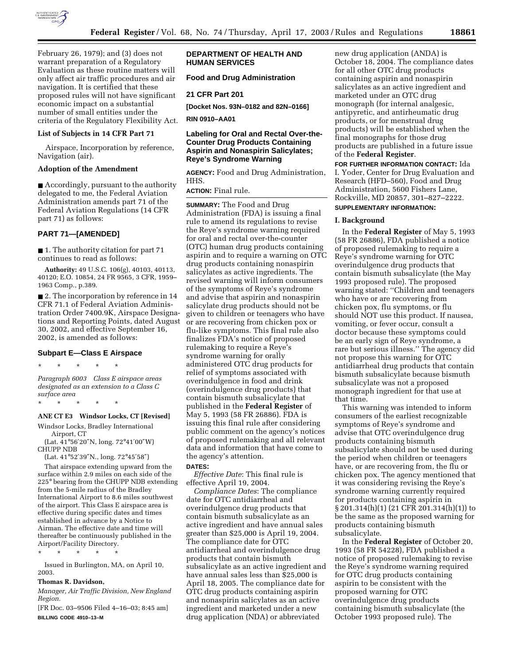

February 26, 1979); and (3) does not warrant preparation of a Regulatory Evaluation as these routine matters will only affect air traffic procedures and air navigation. It is certified that these proposed rules will not have significant economic impact on a substantial number of small entities under the criteria of the Regulatory Flexibility Act.

## **List of Subjects in 14 CFR Part 71**

Airspace, Incorporation by reference, Navigation (air).

## **Adoption of the Amendment**

■ Accordingly, pursuant to the authority delegated to me, the Federal Aviation Administration amends part 71 of the Federal Aviation Regulations (14 CFR part 71) as follows:

## **PART 71—[AMENDED]**

■ 1. The authority citation for part 71 continues to read as follows:

**Authority:** 49 U.S.C. 106(g), 40103, 40113, 40120; E.O. 10854, 24 FR 9565, 3 CFR, 1959– 1963 Comp., p.389.

■ 2. The incorporation by reference in 14 CFR 71.1 of Federal Aviation Administration Order 7400.9K, Airspace Designations and Reporting Points, dated August 30, 2002, and effective September 16, 2002, is amended as follows:

# **Subpart E—Class E Airspace**

\* \* \* \* \*

*Paragraph 6003 Class E airspace areas designated as an extension to a Class C surface area*

\* \* \* \* \*

# **ANE CT E3 Windsor Locks, CT [Revised]**

Windsor Locks, Bradley International Airport, CT

(Lat. 41°56′20″N, long. 72°41′00″W) CHUPP NDB

(Lat. 41°52′39″N., long. 72°45′58″)

That airspace extending upward from the surface within 2.9 miles on each side of the 225° bearing from the CHUPP NDB extending from the 5-mile radius of the Bradley International Airport to 8.6 miles southwest of the airport. This Class E airspace area is effective during specific dates and times established in advance by a Notice to Airman. The effective date and time will thereafter be continuously published in the Airport/Facility Directory.

\* \* \* \* \*

Issued in Burlington, MA, on April 10, 2003.

# **Thomas R. Davidson,**

*Manager, Air Traffic Division, New England Region.*

[FR Doc. 03–9506 Filed 4–16–03; 8:45 am] **BILLING CODE 4910–13–M**

## **DEPARTMENT OF HEALTH AND HUMAN SERVICES**

**Food and Drug Administration**

## **21 CFR Part 201**

**[Docket Nos. 93N–0182 and 82N–0166]**

**RIN 0910–AA01**

## **Labeling for Oral and Rectal Over-the-Counter Drug Products Containing Aspirin and Nonaspirin Salicylates; Reye's Syndrome Warning**

**AGENCY:** Food and Drug Administration, HHS.

**ACTION:** Final rule.

**SUMMARY:** The Food and Drug Administration (FDA) is issuing a final rule to amend its regulations to revise the Reye's syndrome warning required for oral and rectal over-the-counter (OTC) human drug products containing aspirin and to require a warning on OTC drug products containing nonaspirin salicylates as active ingredients. The revised warning will inform consumers of the symptoms of Reye's syndrome and advise that aspirin and nonaspirin salicylate drug products should not be given to children or teenagers who have or are recovering from chicken pox or flu-like symptoms. This final rule also finalizes FDA's notice of proposed rulemaking to require a Reye's syndrome warning for orally administered OTC drug products for relief of symptoms associated with overindulgence in food and drink (overindulgence drug products) that contain bismuth subsalicylate that published in the **Federal Register** of May 5, 1993 (58 FR 26886). FDA is issuing this final rule after considering public comment on the agency's notices of proposed rulemaking and all relevant data and information that have come to the agency's attention.

## **DATES:**

*Effective Date*: This final rule is effective April 19, 2004.

*Compliance Dates*: The compliance date for OTC antidiarrheal and overindulgence drug products that contain bismuth subsalicylate as an active ingredient and have annual sales greater than \$25,000 is April 19, 2004. The compliance date for OTC antidiarrheal and overindulgence drug products that contain bismuth subsalicylate as an active ingredient and have annual sales less than \$25,000 is April 18, 2005. The compliance date for OTC drug products containing aspirin and nonaspirin salicylates as an active ingredient and marketed under a new drug application (NDA) or abbreviated

new drug application (ANDA) is October 18, 2004. The compliance dates for all other OTC drug products containing aspirin and nonaspirin salicylates as an active ingredient and marketed under an OTC drug monograph (for internal analgesic, antipyretic, and antirheumatic drug products, or for menstrual drug products) will be established when the final monographs for those drug products are published in a future issue of the **Federal Register**.

**FOR FURTHER INFORMATION CONTACT:** Ida I. Yoder, Center for Drug Evaluation and Research (HFD–560), Food and Drug Administration, 5600 Fishers Lane, Rockville, MD 20857, 301–827–2222.

## **SUPPLEMENTARY INFORMATION:**

## **I. Background**

In the **Federal Register** of May 5, 1993 (58 FR 26886), FDA published a notice of proposed rulemaking to require a Reye's syndrome warning for OTC overindulgence drug products that contain bismuth subsalicylate (the May 1993 proposed rule). The proposed warning stated: ''Children and teenagers who have or are recovering from chicken pox, flu symptoms, or flu should NOT use this product. If nausea, vomiting, or fever occur, consult a doctor because these symptoms could be an early sign of Reye syndrome, a rare but serious illness.'' The agency did not propose this warning for OTC antidiarrheal drug products that contain bismuth subsalicylate because bismuth subsalicylate was not a proposed monograph ingredient for that use at that time.

This warning was intended to inform consumers of the earliest recognizable symptoms of Reye's syndrome and advise that OTC overindulgence drug products containing bismuth subsalicylate should not be used during the period when children or teenagers have, or are recovering from, the flu or chicken pox. The agency mentioned that it was considering revising the Reye's syndrome warning currently required for products containing aspirin in § 201.314(h)(1) (21 CFR 201.314(h)(1)) to be the same as the proposed warning for products containing bismuth subsalicylate.

In the **Federal Register** of October 20, 1993 (58 FR 54228), FDA published a notice of proposed rulemaking to revise the Reye's syndrome warning required for OTC drug products containing aspirin to be consistent with the proposed warning for OTC overindulgence drug products containing bismuth subsalicylate (the October 1993 proposed rule). The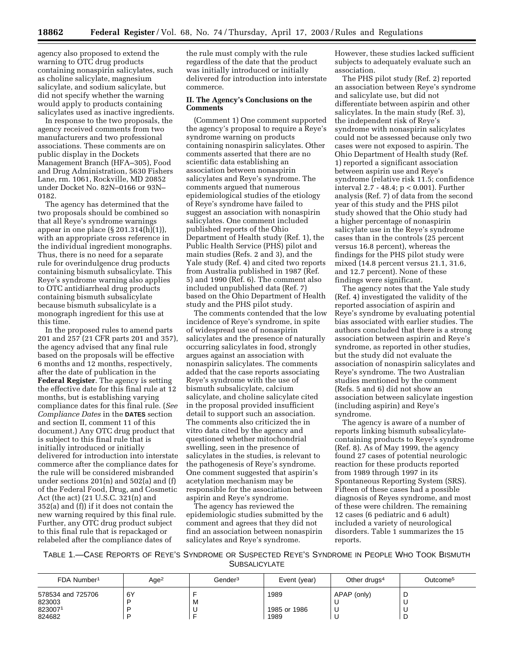agency also proposed to extend the warning to OTC drug products containing nonaspirin salicylates, such as choline salicylate, magnesium salicylate, and sodium salicylate, but did not specify whether the warning would apply to products containing salicylates used as inactive ingredients.

In response to the two proposals, the agency received comments from two manufacturers and two professional associations. These comments are on public display in the Dockets Management Branch (HFA–305), Food and Drug Administration, 5630 Fishers Lane, rm. 1061, Rockville, MD 20852 under Docket No. 82N–0166 or 93N– 0182.

The agency has determined that the two proposals should be combined so that all Reye's syndrome warnings appear in one place (§ 201.314(h)(1)), with an appropriate cross reference in the individual ingredient monographs. Thus, there is no need for a separate rule for overindulgence drug products containing bismuth subsalicylate. This Reye's syndrome warning also applies to OTC antidiarrheal drug products containing bismuth subsalicylate because bismuth subsalicylate is a monograph ingredient for this use at this time.

In the proposed rules to amend parts 201 and 257 (21 CFR parts 201 and 357), the agency advised that any final rule based on the proposals will be effective 6 months and 12 months, respectively, after the date of publication in the **Federal Register**. The agency is setting the effective date for this final rule at 12 months, but is establishing varying compliance dates for this final rule. (*See Compliance Dates* in the **DATES** section and section II, comment 11 of this document.) Any OTC drug product that is subject to this final rule that is initially introduced or initially delivered for introduction into interstate commerce after the compliance dates for the rule will be considered misbranded under sections 201(n) and 502(a) and (f) of the Federal Food, Drug, and Cosmetic Act (the act) (21 U.S.C. 321(n) and 352(a) and (f)) if it does not contain the new warning required by this final rule. Further, any OTC drug product subject to this final rule that is repackaged or relabeled after the compliance dates of

the rule must comply with the rule regardless of the date that the product was initially introduced or initially delivered for introduction into interstate commerce.

## **II. The Agency's Conclusions on the Comments**

(Comment 1) One comment supported the agency's proposal to require a Reye's syndrome warning on products containing nonaspirin salicylates. Other comments asserted that there are no scientific data establishing an association between nonaspirin salicylates and Reye's syndrome. The comments argued that numerous epidemiological studies of the etiology of Reye's syndrome have failed to suggest an association with nonaspirin salicylates. One comment included published reports of the Ohio Department of Health study (Ref. 1), the Public Health Service (PHS) pilot and main studies (Refs. 2 and 3), and the Yale study (Ref. 4) and cited two reports from Australia published in 1987 (Ref. 5) and 1990 (Ref. 6). The comment also included unpublished data (Ref. 7) based on the Ohio Department of Health study and the PHS pilot study.

The comments contended that the low incidence of Reye's syndrome, in spite of widespread use of nonaspirin salicylates and the presence of naturally occurring salicylates in food, strongly argues against an association with nonaspirin salicylates. The comments added that the case reports associating Reye's syndrome with the use of bismuth subsalicylate, calcium salicylate, and choline salicylate cited in the proposal provided insufficient detail to support such an association. The comments also criticized the in vitro data cited by the agency and questioned whether mitochondrial swelling, seen in the presence of salicylates in the studies, is relevant to the pathogenesis of Reye's syndrome. One comment suggested that aspirin's acetylation mechanism may be responsible for the association between aspirin and Reye's syndrome.

The agency has reviewed the epidemiologic studies submitted by the comment and agrees that they did not find an association between nonaspirin salicylates and Reye's syndrome.

However, these studies lacked sufficient subjects to adequately evaluate such an association.

The PHS pilot study (Ref. 2) reported an association between Reye's syndrome and salicylate use, but did not differentiate between aspirin and other salicylates. In the main study (Ref. 3), the independent risk of Reye's syndrome with nonaspirin salicylates could not be assessed because only two cases were not exposed to aspirin. The Ohio Department of Health study (Ref. 1) reported a significant association between aspirin use and Reye's syndrome (relative risk 11.5; confidence interval 2.7 - 48.4; p < 0.001). Further analysis (Ref. 7) of data from the second year of this study and the PHS pilot study showed that the Ohio study had a higher percentage of nonaspirin salicylate use in the Reye's syndrome cases than in the controls (25 percent versus 16.8 percent), whereas the findings for the PHS pilot study were mixed (14.8 percent versus 21.1, 31.6, and 12.7 percent). None of these findings were significant.

The agency notes that the Yale study (Ref. 4) investigated the validity of the reported association of aspirin and Reye's syndrome by evaluating potential bias associated with earlier studies. The authors concluded that there is a strong association between aspirin and Reye's syndrome, as reported in other studies, but the study did not evaluate the association of nonaspirin salicylates and Reye's syndrome. The two Australian studies mentioned by the comment (Refs. 5 and 6) did not show an association between salicylate ingestion (including aspirin) and Reye's syndrome.

The agency is aware of a number of reports linking bismuth subsalicylatecontaining products to Reye's syndrome (Ref. 8). As of May 1999, the agency found 27 cases of potential neurologic reaction for these products reported from 1989 through 1997 in its Spontaneous Reporting System (SRS). Fifteen of these cases had a possible diagnosis of Reyes syndrome, and most of these were children. The remaining 12 cases (6 pediatric and 6 adult) included a variety of neurological disorders. Table 1 summarizes the 15 reports.

TABLE 1.—CASE REPORTS OF REYE'S SYNDROME OR SUSPECTED REYE'S SYNDROME IN PEOPLE WHO TOOK BISMUTH **SUBSALICYLATE** 

| FDA Number <sup>1</sup> | Age <sup>2</sup> | Gender <sup>3</sup> | Event (year) | Other drugs <sup>4</sup> | Outcome <sup>5</sup> |
|-------------------------|------------------|---------------------|--------------|--------------------------|----------------------|
| 578534 and 725706       | 6Y               |                     | 1989         | APAP (only)              | ◡                    |
| 823003                  |                  | M                   |              |                          | ັ                    |
| 8230071                 |                  | ╰                   | 1985 or 1986 |                          | ◡                    |
| 824682                  |                  |                     | 1989         |                          | D                    |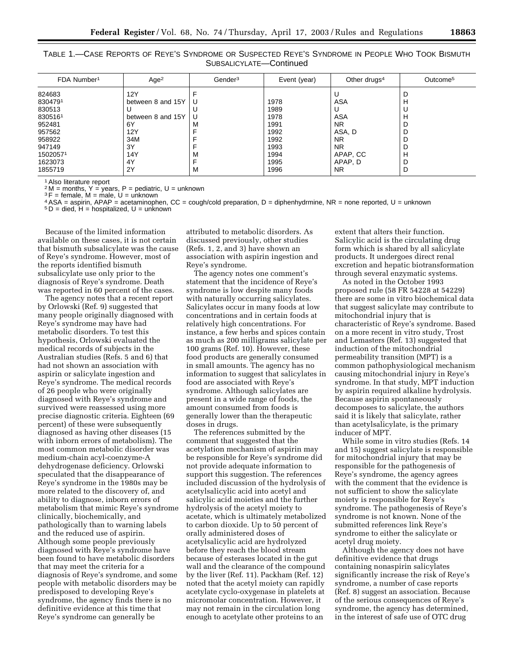| TABLE 1.-CASE REPORTS OF REYE'S SYNDROME OR SUSPECTED REYE'S SYNDROME IN PEOPLE WHO TOOK BISMUTH |  |  |  |  |  |  |  |  |  |
|--------------------------------------------------------------------------------------------------|--|--|--|--|--|--|--|--|--|
| SUBSALICYLATE-Continued                                                                          |  |  |  |  |  |  |  |  |  |

| FDA Number <sup>1</sup> | Age <sup>2</sup>  | Gender <sup>3</sup> | Event (year) | Other drugs <sup>4</sup> | Outcome <sup>5</sup> |
|-------------------------|-------------------|---------------------|--------------|--------------------------|----------------------|
| 824683                  | 12Y               |                     |              | U                        | D                    |
| 8304791                 | between 8 and 15Y | U                   | 1978         | ASA                      | н                    |
| 830513                  |                   |                     | 1989         |                          |                      |
| 8305161                 | between 8 and 15Y | U                   | 1978         | ASA                      | н                    |
| 952481                  | 6Y                | M                   | 1991         | <b>NR</b>                |                      |
| 957562                  | 12Y               |                     | 1992         | ASA, D                   | ш                    |
| 958922                  | 34M               |                     | 1992         | <b>NR</b>                |                      |
| 947149                  | 3Y                |                     | 1993         | NR.                      |                      |
| 15020571                | 14Y               | M                   | 1994         | APAP, CC                 | H                    |
| 1623073                 | 4Y                |                     | 1995         | APAP, D                  |                      |
| 1855719                 | 2Y                | M                   | 1996         | NR.                      | D                    |

1Also literature report

 $2 M =$  months,  $Y =$  years,  $P =$  pediatric,  $U =$  unknown

3F = female, M = male, U = unknown

4ASA = aspirin, APAP = acetaminophen, CC = cough/cold preparation, D = diphenhydrmine, NR = none reported, U = unknown

 $5D =$  died,  $H =$  hospitalized,  $U =$  unknown

Because of the limited information available on these cases, it is not certain that bismuth subsalicylate was the cause of Reye's syndrome. However, most of the reports identified bismuth subsalicylate use only prior to the diagnosis of Reye's syndrome. Death was reported in 60 percent of the cases.

The agency notes that a recent report by Orlowski (Ref. 9) suggested that many people originally diagnosed with Reye's syndrome may have had metabolic disorders. To test this hypothesis, Orlowski evaluated the medical records of subjects in the Australian studies (Refs. 5 and 6) that had not shown an association with aspirin or salicylate ingestion and Reye's syndrome. The medical records of 26 people who were originally diagnosed with Reye's syndrome and survived were reassessed using more precise diagnostic criteria. Eighteen (69 percent) of these were subsequently diagnosed as having other diseases (15 with inborn errors of metabolism). The most common metabolic disorder was medium-chain acyl-coenzyme-A dehydrogenase deficiency. Orlowski speculated that the disappearance of Reye's syndrome in the 1980s may be more related to the discovery of, and ability to diagnose, inborn errors of metabolism that mimic Reye's syndrome clinically, biochemically, and pathologically than to warning labels and the reduced use of aspirin. Although some people previously diagnosed with Reye's syndrome have been found to have metabolic disorders that may meet the criteria for a diagnosis of Reye's syndrome, and some people with metabolic disorders may be predisposed to developing Reye's syndrome, the agency finds there is no definitive evidence at this time that Reye's syndrome can generally be

attributed to metabolic disorders. As discussed previously, other studies (Refs. 1, 2, and 3) have shown an association with aspirin ingestion and Reye's syndrome.

The agency notes one comment's statement that the incidence of Reye's syndrome is low despite many foods with naturally occurring salicylates. Salicylates occur in many foods at low concentrations and in certain foods at relatively high concentrations. For instance, a few herbs and spices contain as much as 200 milligrams salicylate per 100 grams (Ref. 10). However, these food products are generally consumed in small amounts. The agency has no information to suggest that salicylates in food are associated with Reye's syndrome. Although salicylates are present in a wide range of foods, the amount consumed from foods is generally lower than the therapeutic doses in drugs.

The references submitted by the comment that suggested that the acetylation mechanism of aspirin may be responsible for Reye's syndrome did not provide adequate information to support this suggestion. The references included discussion of the hydrolysis of acetylsalicylic acid into acetyl and salicylic acid moieties and the further hydrolysis of the acetyl moiety to acetate, which is ultimately metabolized to carbon dioxide. Up to 50 percent of orally administered doses of acetylsalicylic acid are hydrolyzed before they reach the blood stream because of esterases located in the gut wall and the clearance of the compound by the liver (Ref. 11). Packham (Ref. 12) noted that the acetyl moiety can rapidly acetylate cyclo-oxygenase in platelets at micromolar concentration. However, it may not remain in the circulation long enough to acetylate other proteins to an

extent that alters their function. Salicylic acid is the circulating drug form which is shared by all salicylate products. It undergoes direct renal excretion and hepatic biotransformation through several enzymatic systems.

As noted in the October 1993 proposed rule (58 FR 54228 at 54229) there are some in vitro biochemical data that suggest salicylate may contribute to mitochondrial injury that is characteristic of Reye's syndrome. Based on a more recent in vitro study, Trost and Lemasters (Ref. 13) suggested that induction of the mitochondrial permeability transition (MPT) is a common pathophysiological mechanism causing mitochondrial injury in Reye's syndrome. In that study, MPT induction by aspirin required alkaline hydrolysis. Because aspirin spontaneously decomposes to salicylate, the authors said it is likely that salicylate, rather than acetylsalicylate, is the primary inducer of MPT.

While some in vitro studies (Refs. 14 and 15) suggest salicylate is responsible for mitochondrial injury that may be responsible for the pathogenesis of Reye's syndrome, the agency agrees with the comment that the evidence is not sufficient to show the salicylate moiety is responsible for Reye's syndrome. The pathogenesis of Reye's syndrome is not known. None of the submitted references link Reye's syndrome to either the salicylate or acetyl drug moiety.

Although the agency does not have definitive evidence that drugs containing nonaspirin salicylates significantly increase the risk of Reye's syndrome, a number of case reports (Ref. 8) suggest an association. Because of the serious consequences of Reye's syndrome, the agency has determined, in the interest of safe use of OTC drug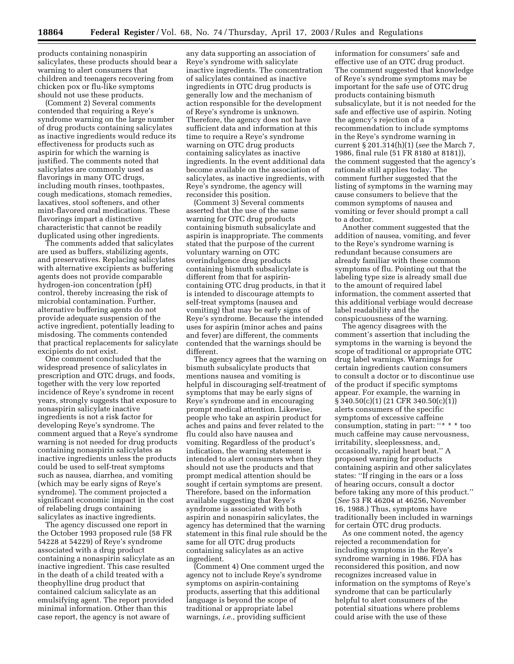products containing nonaspirin salicylates, these products should bear a warning to alert consumers that children and teenagers recovering from chicken pox or flu-like symptoms should not use these products.

(Comment 2) Several comments contended that requiring a Reye's syndrome warning on the large number of drug products containing salicylates as inactive ingredients would reduce its effectiveness for products such as aspirin for which the warning is justified. The comments noted that salicylates are commonly used as flavorings in many OTC drugs, including mouth rinses, toothpastes, cough medications, stomach remedies, laxatives, stool softeners, and other mint-flavored oral medications. These flavorings impart a distinctive characteristic that cannot be readily duplicated using other ingredients.

The comments added that salicylates are used as buffers, stabilizing agents, and preservatives. Replacing salicylates with alternative excipients as buffering agents does not provide comparable hydrogen-ion concentration (pH) control, thereby increasing the risk of microbial contamination. Further, alternative buffering agents do not provide adequate suspension of the active ingredient, potentially leading to misdosing. The comments contended that practical replacements for salicylate excipients do not exist.

One comment concluded that the widespread presence of salicylates in prescription and OTC drugs, and foods, together with the very low reported incidence of Reye's syndrome in recent years, strongly suggests that exposure to nonaspirin salicylate inactive ingredients is not a risk factor for developing Reye's syndrome. The comment argued that a Reye's syndrome warning is not needed for drug products containing nonaspirin salicylates as inactive ingredients unless the products could be used to self-treat symptoms such as nausea, diarrhea, and vomiting (which may be early signs of Reye's syndrome). The comment projected a significant economic impact in the cost of relabeling drugs containing salicylates as inactive ingredients.

The agency discussed one report in the October 1993 proposed rule (58 FR 54228 at 54229) of Reye's syndrome associated with a drug product containing a nonaspirin salicylate as an inactive ingredient. This case resulted in the death of a child treated with a theophylline drug product that contained calcium salicylate as an emulsifying agent. The report provided minimal information. Other than this case report, the agency is not aware of

any data supporting an association of Reye's syndrome with salicylate inactive ingredients. The concentration of salicylates contained as inactive ingredients in OTC drug products is generally low and the mechanism of action responsible for the development of Reye's syndrome is unknown. Therefore, the agency does not have sufficient data and information at this time to require a Reye's syndrome warning on OTC drug products containing salicylates as inactive ingredients. In the event additional data become available on the association of salicylates, as inactive ingredients, with Reye's syndrome, the agency will reconsider this position.

(Comment 3) Several comments asserted that the use of the same warning for OTC drug products containing bismuth subsalicylate and aspirin is inappropriate. The comments stated that the purpose of the current voluntary warning on OTC overindulgence drug products containing bismuth subsalicylate is different from that for aspirincontaining OTC drug products, in that it is intended to discourage attempts to self-treat symptoms (nausea and vomiting) that may be early signs of Reye's syndrome. Because the intended uses for aspirin (minor aches and pains and fever) are different, the comments contended that the warnings should be different.

The agency agrees that the warning on bismuth subsalicylate products that mentions nausea and vomiting is helpful in discouraging self-treatment of symptoms that may be early signs of Reye's syndrome and in encouraging prompt medical attention. Likewise, people who take an aspirin product for aches and pains and fever related to the flu could also have nausea and vomiting. Regardless of the product's indication, the warning statement is intended to alert consumers when they should not use the products and that prompt medical attention should be sought if certain symptoms are present. Therefore, based on the information available suggesting that Reye's syndrome is associated with both aspirin and nonaspirin salicylates, the agency has determined that the warning statement in this final rule should be the same for all OTC drug products containing salicylates as an active ingredient.

(Comment 4) One comment urged the agency not to include Reye's syndrome symptoms on aspirin-containing products, asserting that this additional language is beyond the scope of traditional or appropriate label warnings, *i.e.,* providing sufficient

information for consumers' safe and effective use of an OTC drug product. The comment suggested that knowledge of Reye's syndrome symptoms may be important for the safe use of OTC drug products containing bismuth subsalicylate, but it is not needed for the safe and effective use of aspirin. Noting the agency's rejection of a recommendation to include symptoms in the Reye's syndrome warning in current § 201.314(h)(1) (*see* the March 7, 1986, final rule (51 FR 8180 at 8181)), the comment suggested that the agency's rationale still applies today. The comment further suggested that the listing of symptoms in the warning may cause consumers to believe that the common symptoms of nausea and vomiting or fever should prompt a call to a doctor.

Another comment suggested that the addition of nausea, vomiting, and fever to the Reye's syndrome warning is redundant because consumers are already familiar with these common symptoms of flu. Pointing out that the labeling type size is already small due to the amount of required label information, the comment asserted that this additional verbiage would decrease label readability and the conspicuousness of the warning.

The agency disagrees with the comment's assertion that including the symptoms in the warning is beyond the scope of traditional or appropriate OTC drug label warnings. Warnings for certain ingredients caution consumers to consult a doctor or to discontinue use of the product if specific symptoms appear. For example, the warning in § 340.50(c)(1) (21 CFR 340.50(c)(1)) alerts consumers of the specific symptoms of excessive caffeine consumption, stating in part: ''\* \* \* too much caffeine may cause nervousness, irritability, sleeplessness, and, occasionally, rapid heart beat.'' A proposed warning for products containing aspirin and other salicylates states: ''If ringing in the ears or a loss of hearing occurs, consult a doctor before taking any more of this product.'' (*See* 53 FR 46204 at 46256, November 16, 1988.) Thus, symptoms have traditionally been included in warnings for certain OTC drug products.

As one comment noted, the agency rejected a recommendation for including symptoms in the Reye's syndrome warning in 1986. FDA has reconsidered this position, and now recognizes increased value in information on the symptoms of Reye's syndrome that can be particularly helpful to alert consumers of the potential situations where problems could arise with the use of these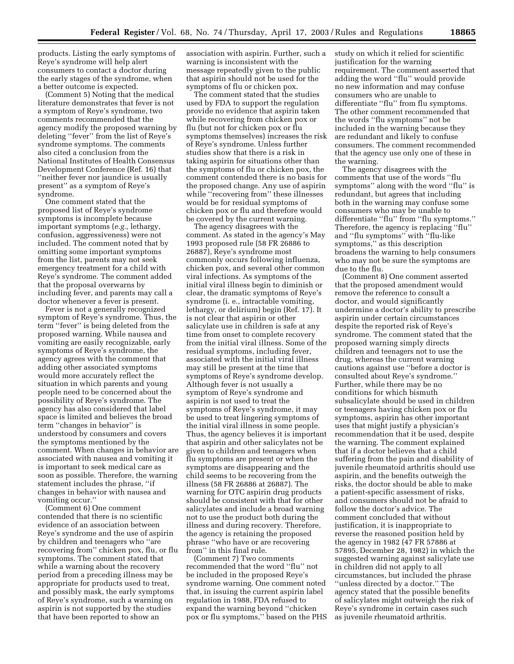products. Listing the early symptoms of Reye's syndrome will help alert consumers to contact a doctor during the early stages of the syndrome, when a better outcome is expected.

(Comment 5) Noting that the medical literature demonstrates that fever is not a symptom of Reye's syndrome, two comments recommended that the agency modify the proposed warning by deleting ''fever'' from the list of Reye's syndrome symptoms. The comments also cited a conclusion from the National Institutes of Health Consensus Development Conference (Ref. 16) that ''neither fever nor jaundice is usually present'' as a symptom of Reye's syndrome.

One comment stated that the proposed list of Reye's syndrome symptoms is incomplete because important symptoms (*e.g.,* lethargy, confusion, aggressiveness) were not included. The comment noted that by omitting some important symptoms from the list, parents may not seek emergency treatment for a child with Reye's syndrome. The comment added that the proposal overwarns by including fever, and parents may call a doctor whenever a fever is present.

Fever is not a generally recognized symptom of Reye's syndrome. Thus, the term ''fever'' is being deleted from the proposed warning. While nausea and vomiting are easily recognizable, early symptoms of Reye's syndrome, the agency agrees with the comment that adding other associated symptoms would more accurately reflect the situation in which parents and young people need to be concerned about the possibility of Reye's syndrome. The agency has also considered that label space is limited and believes the broad term ''changes in behavior'' is understood by consumers and covers the symptoms mentioned by the comment. When changes in behavior are associated with nausea and vomiting it is important to seek medical care as soon as possible. Therefore, the warning statement includes the phrase, ''if changes in behavior with nausea and vomiting occur.''

(Comment 6) One comment contended that there is no scientific evidence of an association between Reye's syndrome and the use of aspirin by children and teenagers who ''are recovering from'' chicken pox, flu, or flu symptoms. The comment stated that while a warning about the recovery period from a preceding illness may be appropriate for products used to treat, and possibly mask, the early symptoms of Reye's syndrome, such a warning on aspirin is not supported by the studies that have been reported to show an

association with aspirin. Further, such a warning is inconsistent with the message repeatedly given to the public that aspirin should not be used for the symptoms of flu or chicken pox.

The comment stated that the studies used by FDA to support the regulation provide no evidence that aspirin taken while recovering from chicken pox or flu (but not for chicken pox or flu symptoms themselves) increases the risk of Reye's syndrome. Unless further studies show that there is a risk in taking aspirin for situations other than the symptoms of flu or chicken pox, the comment contended there is no basis for the proposed change. Any use of aspirin while ''recovering from'' these illnesses would be for residual symptoms of chicken pox or flu and therefore would be covered by the current warning.

The agency disagrees with the comment. As stated in the agency's May 1993 proposed rule (58 FR 26886 to 26887), Reye's syndrome most commonly occurs following influenza, chicken pox, and several other common viral infections. As symptoms of the initial viral illness begin to diminish or clear, the dramatic symptoms of Reye's syndrome (i. e., intractable vomiting, lethargy, or delirium) begin (Ref. 17). It is not clear that aspirin or other salicylate use in children is safe at any time from onset to complete recovery from the initial viral illness. Some of the residual symptoms, including fever, associated with the initial viral illness may still be present at the time that symptoms of Reye's syndrome develop. Although fever is not usually a symptom of Reye's syndrome and aspirin is not used to treat the symptoms of Reye's syndrome, it may be used to treat lingering symptoms of the initial viral illness in some people. Thus, the agency believes it is important that aspirin and other salicylates not be given to children and teenagers when flu symptoms are present or when the symptoms are disappearing and the child seems to be recovering from the illness (58 FR 26886 at 26887). The warning for OTC aspirin drug products should be consistent with that for other salicylates and include a broad warning not to use the product both during the illness and during recovery. Therefore, the agency is retaining the proposed phrase ''who have or are recovering from'' in this final rule.

(Comment 7) Two comments recommended that the word ''flu'' not be included in the proposed Reye's syndrome warning. One comment noted that, in issuing the current aspirin label regulation in 1988, FDA refused to expand the warning beyond ''chicken pox or flu symptoms,'' based on the PHS study on which it relied for scientific justification for the warning requirement. The comment asserted that adding the word ''flu'' would provide no new information and may confuse consumers who are unable to differentiate ''flu'' from flu symptoms. The other comment recommended that the words ''flu symptoms'' not be included in the warning because they are redundant and likely to confuse consumers. The comment recommended that the agency use only one of these in the warning.

The agency disagrees with the comments that use of the words ''flu symptoms'' along with the word ''flu'' is redundant, but agrees that including both in the warning may confuse some consumers who may be unable to differentiate ''flu'' from ''flu symptoms.'' Therefore, the agency is replacing ''flu'' and ''flu symptoms'' with ''flu-like symptoms,'' as this description broadens the warning to help consumers who may not be sure the symptoms are due to the flu.

(Comment 8) One comment asserted that the proposed amendment would remove the reference to consult a doctor, and would significantly undermine a doctor's ability to prescribe aspirin under certain circumstances despite the reported risk of Reye's syndrome. The comment stated that the proposed warning simply directs children and teenagers not to use the drug, whereas the current warning cautions against use ''before a doctor is consulted about Reye's syndrome.'' Further, while there may be no conditions for which bismuth subsalicylate should be used in children or teenagers having chicken pox or flu symptoms, aspirin has other important uses that might justify a physician's recommendation that it be used, despite the warning. The comment explained that if a doctor believes that a child suffering from the pain and disability of juvenile rheumatoid arthritis should use aspirin, and the benefits outweigh the risks, the doctor should be able to make a patient-specific assessment of risks, and consumers should not be afraid to follow the doctor's advice. The comment concluded that without justification, it is inappropriate to reverse the reasoned position held by the agency in 1982 (47 FR 57886 at 57895, December 28, 1982) in which the suggested warning against salicylate use in children did not apply to all circumstances, but included the phrase ''unless directed by a doctor.'' The agency stated that the possible benefits of salicylates might outweigh the risk of Reye's syndrome in certain cases such as juvenile rheumatoid arthritis.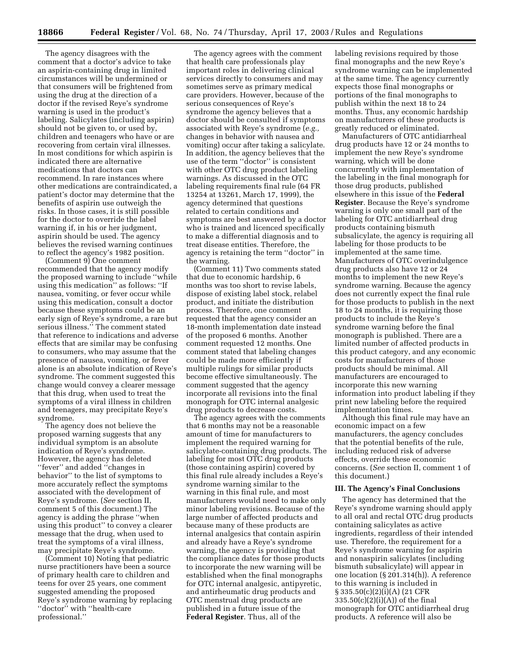The agency disagrees with the comment that a doctor's advice to take an aspirin-containing drug in limited circumstances will be undermined or that consumers will be frightened from using the drug at the direction of a doctor if the revised Reye's syndrome warning is used in the product's labeling. Salicylates (including aspirin) should not be given to, or used by, children and teenagers who have or are recovering from certain viral illnesses. In most conditions for which aspirin is indicated there are alternative medications that doctors can recommend. In rare instances where other medications are contraindicated, a patient's doctor may determine that the benefits of aspirin use outweigh the risks. In those cases, it is still possible for the doctor to override the label warning if, in his or her judgment, aspirin should be used. The agency believes the revised warning continues to reflect the agency's 1982 position.

(Comment 9) One comment recommended that the agency modify the proposed warning to include ''while using this medication'' as follows: ''If nausea, vomiting, or fever occur while using this medication, consult a doctor because these symptoms could be an early sign of Reye's syndrome, a rare but serious illness.'' The comment stated that reference to indications and adverse effects that are similar may be confusing to consumers, who may assume that the presence of nausea, vomiting, or fever alone is an absolute indication of Reye's syndrome. The comment suggested this change would convey a clearer message that this drug, when used to treat the symptoms of a viral illness in children and teenagers, may precipitate Reye's syndrome.

The agency does not believe the proposed warning suggests that any individual symptom is an absolute indication of Reye's syndrome. However, the agency has deleted ''fever'' and added ''changes in behavior'' to the list of symptoms to more accurately reflect the symptoms associated with the development of Reye's syndrome. (*See* section II, comment 5 of this document.) The agency is adding the phrase ''when using this product'' to convey a clearer message that the drug, when used to treat the symptoms of a viral illness, may precipitate Reye's syndrome.

(Comment 10) Noting that pediatric nurse practitioners have been a source of primary health care to children and teens for over 25 years, one comment suggested amending the proposed Reye's syndrome warning by replacing ''doctor'' with ''health-care professional.''

The agency agrees with the comment that health care professionals play important roles in delivering clinical services directly to consumers and may sometimes serve as primary medical care providers. However, because of the serious consequences of Reye's syndrome the agency believes that a doctor should be consulted if symptoms associated with Reye's syndrome (*e.g.,* changes in behavior with nausea and vomiting) occur after taking a salicylate. In addition, the agency believes that the use of the term ''doctor'' is consistent with other OTC drug product labeling warnings. As discussed in the OTC labeling requirements final rule (64 FR 13254 at 13261, March 17, 1999), the agency determined that questions related to certain conditions and symptoms are best answered by a doctor who is trained and licenced specifically to make a differential diagnosis and to treat disease entities. Therefore, the agency is retaining the term ''doctor'' in the warning.

(Comment 11) Two comments stated that due to economic hardship, 6 months was too short to revise labels, dispose of existing label stock, relabel product, and initiate the distribution process. Therefore, one comment requested that the agency consider an 18-month implementation date instead of the proposed 6 months. Another comment requested 12 months. One comment stated that labeling changes could be made more efficiently if multiple rulings for similar products become effective simultaneously. The comment suggested that the agency incorporate all revisions into the final monograph for OTC internal analgesic drug products to decrease costs.

The agency agrees with the comments that 6 months may not be a reasonable amount of time for manufacturers to implement the required warning for salicylate-containing drug products. The labeling for most OTC drug products (those containing aspirin) covered by this final rule already includes a Reye's syndrome warning similar to the warning in this final rule, and most manufacturers would need to make only minor labeling revisions. Because of the large number of affected products and because many of these products are internal analgesics that contain aspirin and already have a Reye's syndrome warning, the agency is providing that the compliance dates for those products to incorporate the new warning will be established when the final monographs for OTC internal analgesic, antipyretic, and antirheumatic drug products and OTC menstrual drug products are published in a future issue of the **Federal Register**. Thus, all of the

labeling revisions required by those final monographs and the new Reye's syndrome warning can be implemented at the same time. The agency currently expects those final monographs or portions of the final monographs to publish within the next 18 to 24 months. Thus, any economic hardship on manufacturers of these products is greatly reduced or eliminated.

Manufacturers of OTC antidiarrheal drug products have 12 or 24 months to implement the new Reye's syndrome warning, which will be done concurrently with implementation of the labeling in the final monograph for those drug products, published elsewhere in this issue of the **Federal Register**. Because the Reye's syndrome warning is only one small part of the labeling for OTC antidiarrheal drug products containing bismuth subsalicylate, the agency is requiring all labeling for those products to be implemented at the same time. Manufacturers of OTC overindulgence drug products also have 12 or 24 months to implement the new Reye's syndrome warning. Because the agency does not currently expect the final rule for those products to publish in the next 18 to 24 months, it is requiring those products to include the Reye's syndrome warning before the final monograph is published. There are a limited number of affected products in this product category, and any economic costs for manufacturers of those products should be minimal. All manufacturers are encouraged to incorporate this new warning information into product labeling if they print new labeling before the required implementation times.

Although this final rule may have an economic impact on a few manufacturers, the agency concludes that the potential benefits of the rule, including reduced risk of adverse effects, override these economic concerns. (*See* section II, comment 1 of this document.)

## **III. The Agency's Final Conclusions**

The agency has determined that the Reye's syndrome warning should apply to all oral and rectal OTC drug products containing salicylates as active ingredients, regardless of their intended use. Therefore, the requirement for a Reye's syndrome warning for aspirin and nonaspirin salicylates (including bismuth subsalicylate) will appear in one location (§ 201.314(h)). A reference to this warning is included in § 335.50(c)(2)(i)(A) (21 CFR  $335.50(c)(2)(i)(A))$  of the final monograph for OTC antidiarrheal drug products. A reference will also be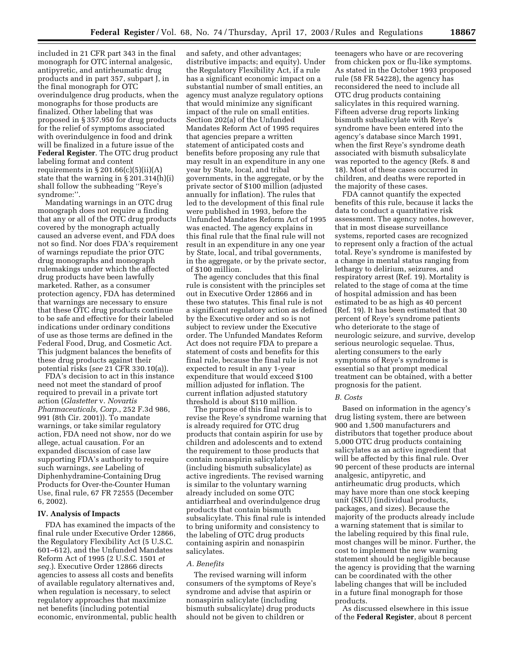included in 21 CFR part 343 in the final monograph for OTC internal analgesic, antipyretic, and antirheumatic drug products and in part 357, subpart J, in the final monograph for OTC overindulgence drug products, when the monographs for those products are finalized. Other labeling that was proposed in § 357.950 for drug products for the relief of symptoms associated with overindulgence in food and drink will be finalized in a future issue of the **Federal Register**. The OTC drug product labeling format and content requirements in  $\S 201.66(c)(5)(ii)(A)$ state that the warning in § 201.314(h)(i) shall follow the subheading ''Reye's syndrome:''.

Mandating warnings in an OTC drug monograph does not require a finding that any or all of the OTC drug products covered by the monograph actually caused an adverse event, and FDA does not so find. Nor does FDA's requirement of warnings repudiate the prior OTC drug monographs and monograph rulemakings under which the affected drug products have been lawfully marketed. Rather, as a consumer protection agency, FDA has determined that warnings are necessary to ensure that these OTC drug products continue to be safe and effective for their labeled indications under ordinary conditions of use as those terms are defined in the Federal Food, Drug, and Cosmetic Act. This judgment balances the benefits of these drug products against their potential risks (*see* 21 CFR 330.10(a)).

FDA's decision to act in this instance need not meet the standard of proof required to prevail in a private tort action (*Glastetter* v. *Novartis Pharmaceuticals, Corp.*, 252 F.3d 986, 991 (8th Cir. 2001)). To mandate warnings, or take similar regulatory action, FDA need not show, nor do we allege, actual causation. For an expanded discussion of case law supporting FDA's authority to require such warnings, *see* Labeling of Diphenhydramine-Containing Drug Products for Over-the-Counter Human Use, final rule, 67 FR 72555 (December 6, 2002).

### **IV. Analysis of Impacts**

FDA has examined the impacts of the final rule under Executive Order 12866, the Regulatory Flexibility Act (5 U.S.C. 601–612), and the Unfunded Mandates Reform Act of 1995 (2 U.S.C. 1501 *et seq.*). Executive Order 12866 directs agencies to assess all costs and benefits of available regulatory alternatives and, when regulation is necessary, to select regulatory approaches that maximize net benefits (including potential economic, environmental, public health

and safety, and other advantages; distributive impacts; and equity). Under the Regulatory Flexibility Act, if a rule has a significant economic impact on a substantial number of small entities, an agency must analyze regulatory options that would minimize any significant impact of the rule on small entities. Section 202(a) of the Unfunded Mandates Reform Act of 1995 requires that agencies prepare a written statement of anticipated costs and benefits before proposing any rule that may result in an expenditure in any one year by State, local, and tribal governments, in the aggregate, or by the private sector of \$100 million (adjusted annually for inflation). The rules that led to the development of this final rule were published in 1993, before the Unfunded Mandates Reform Act of 1995 was enacted. The agency explains in this final rule that the final rule will not result in an expenditure in any one year by State, local, and tribal governments, in the aggregate, or by the private sector, of \$100 million.

The agency concludes that this final rule is consistent with the principles set out in Executive Order 12866 and in these two statutes. This final rule is not a significant regulatory action as defined by the Executive order and so is not subject to review under the Executive order. The Unfunded Mandates Reform Act does not require FDA to prepare a statement of costs and benefits for this final rule, because the final rule is not expected to result in any 1-year expenditure that would exceed \$100 million adjusted for inflation. The current inflation adjusted statutory threshold is about \$110 million.

The purpose of this final rule is to revise the Reye's syndrome warning that is already required for OTC drug products that contain aspirin for use by children and adolescents and to extend the requirement to those products that contain nonaspirin salicylates (including bismuth subsalicylate) as active ingredients. The revised warning is similar to the voluntary warning already included on some OTC antidiarrheal and overindulgence drug products that contain bismuth subsalicylate. This final rule is intended to bring uniformity and consistency to the labeling of OTC drug products containing aspirin and nonaspirin salicylates.

#### *A. Benefits*

The revised warning will inform consumers of the symptoms of Reye's syndrome and advise that aspirin or nonaspirin salicylate (including bismuth subsalicylate) drug products should not be given to children or

teenagers who have or are recovering from chicken pox or flu-like symptoms. As stated in the October 1993 proposed rule (58 FR 54228), the agency has reconsidered the need to include all OTC drug products containing salicylates in this required warning. Fifteen adverse drug reports linking bismuth subsalicylate with Reye's syndrome have been entered into the agency's database since March 1991, when the first Reye's syndrome death associated with bismuth subsalicylate was reported to the agency (Refs. 8 and 18). Most of these cases occurred in children, and deaths were reported in the majority of these cases.

FDA cannot quantify the expected benefits of this rule, because it lacks the data to conduct a quantitative risk assessment. The agency notes, however, that in most disease surveillance systems, reported cases are recognized to represent only a fraction of the actual total. Reye's syndrome is manifested by a change in mental status ranging from lethargy to delirium, seizures, and respiratory arrest (Ref. 19). Mortality is related to the stage of coma at the time of hospital admission and has been estimated to be as high as 40 percent (Ref. 19). It has been estimated that 30 percent of Reye's syndrome patients who deteriorate to the stage of neurologic seizure, and survive, develop serious neurologic sequelae. Thus, alerting consumers to the early symptoms of Reye's syndrome is essential so that prompt medical treatment can be obtained, with a better prognosis for the patient.

#### *B. Costs*

Based on information in the agency's drug listing system, there are between 900 and 1,500 manufacturers and distributors that together produce about 5,000 OTC drug products containing salicylates as an active ingredient that will be affected by this final rule. Over 90 percent of these products are internal analgesic, antipyretic, and antirheumatic drug products, which may have more than one stock keeping unit (SKU) (individual products, packages, and sizes). Because the majority of the products already include a warning statement that is similar to the labeling required by this final rule, most changes will be minor. Further, the cost to implement the new warning statement should be negligible because the agency is providing that the warning can be coordinated with the other labeling changes that will be included in a future final monograph for those products.

As discussed elsewhere in this issue of the **Federal Register**, about 8 percent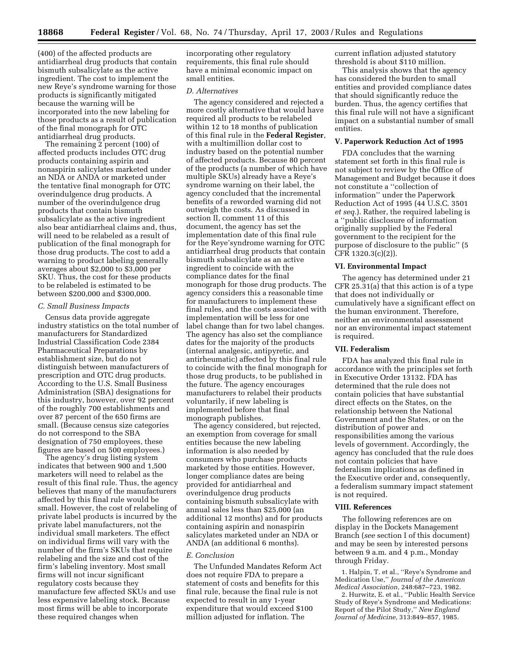(400) of the affected products are antidiarrheal drug products that contain bismuth subsalicylate as the active ingredient. The cost to implement the new Reye's syndrome warning for those products is significantly mitigated because the warning will be incorporated into the new labeling for those products as a result of publication of the final monograph for OTC antidiarrheal drug products.

The remaining 2 percent (100) of affected products includes OTC drug products containing aspirin and nonaspirin salicylates marketed under an NDA or ANDA or marketed under the tentative final monograph for OTC overindulgence drug products. A number of the overindulgence drug products that contain bismuth subsalicylate as the active ingredient also bear antidiarrheal claims and, thus, will need to be relabeled as a result of publication of the final monograph for those drug products. The cost to add a warning to product labeling generally averages about \$2,000 to \$3,000 per SKU. Thus, the cost for these products to be relabeled is estimated to be between \$200,000 and \$300,000.

#### *C. Small Business Impacts*

Census data provide aggregate industry statistics on the total number of manufacturers for Standardized Industrial Classification Code 2384 Pharmaceutical Preparations by establishment size, but do not distinguish between manufacturers of prescription and OTC drug products. According to the U.S. Small Business Administration (SBA) designations for this industry, however, over 92 percent of the roughly 700 establishments and over 87 percent of the 650 firms are small. (Because census size categories do not correspond to the SBA designation of 750 employees, these figures are based on 500 employees.)

The agency's drug listing system indicates that between 900 and 1,500 marketers will need to relabel as the result of this final rule. Thus, the agency believes that many of the manufacturers affected by this final rule would be small. However, the cost of relabeling of private label products is incurred by the private label manufacturers, not the individual small marketers. The effect on individual firms will vary with the number of the firm's SKUs that require relabeling and the size and cost of the firm's labeling inventory. Most small firms will not incur significant regulatory costs because they manufacture few affected SKUs and use less expensive labeling stock. Because most firms will be able to incorporate these required changes when

incorporating other regulatory requirements, this final rule should have a minimal economic impact on small entities.

## *D. Alternatives*

The agency considered and rejected a more costly alternative that would have required all products to be relabeled within 12 to 18 months of publication of this final rule in the **Federal Register**, with a multimillion dollar cost to industry based on the potential number of affected products. Because 80 percent of the products (a number of which have multiple SKUs) already have a Reye's syndrome warning on their label, the agency concluded that the incremental benefits of a reworded warning did not outweigh the costs. As discussed in section II, comment 11 of this document, the agency has set the implementation date of this final rule for the Reye'syndrome warning for OTC antidiarrheal drug products that contain bismuth subsalicylate as an active ingredient to coincide with the compliance dates for the final monograph for those drug products. The agency considers this a reasonable time for manufacturers to implement these final rules, and the costs associated with implementation will be less for one label change than for two label changes. The agency has also set the compliance dates for the majority of the products (internal analgesic, antipyretic, and antirheumatic) affected by this final rule to coincide with the final monograph for those drug products, to be published in the future. The agency encourages manufacturers to relabel their products voluntarily, if new labeling is implemented before that final monograph publishes.

The agency considered, but rejected, an exemption from coverage for small entities because the new labeling information is also needed by consumers who purchase products marketed by those entities. However, longer compliance dates are being provided for antidiarrheal and overindulgence drug products containing bismuth subsalicylate with annual sales less than \$25,000 (an additional 12 months) and for products containing aspirin and nonaspirin salicylates marketed under an NDA or ANDA (an additional 6 months).

## *E. Conclusion*

The Unfunded Mandates Reform Act does not require FDA to prepare a statement of costs and benefits for this final rule, because the final rule is not expected to result in any 1-year expenditure that would exceed \$100 million adjusted for inflation. The

current inflation adjusted statutory threshold is about \$110 million.

This analysis shows that the agency has considered the burden to small entities and provided compliance dates that should significantly reduce the burden. Thus, the agency certifies that this final rule will not have a significant impact on a substantial number of small entities.

## **V. Paperwork Reduction Act of 1995**

FDA concludes that the warning statement set forth in this final rule is not subject to review by the Office of Management and Budget because it does not constitute a ''collection of information'' under the Paperwork Reduction Act of 1995 (44 U.S.C. 3501 *et seq.*). Rather, the required labeling is a ''public disclosure of information originally supplied by the Federal government to the recipient for the purpose of disclosure to the public'' (5 CFR 1320.3(c)(2)).

## **VI. Environmental Impact**

The agency has determined under 21 CFR 25.31(a) that this action is of a type that does not individually or cumulatively have a significant effect on the human environment. Therefore, neither an environmental assessment nor an environmental impact statement is required.

### **VII. Federalism**

FDA has analyzed this final rule in accordance with the principles set forth in Executive Order 13132. FDA has determined that the rule does not contain policies that have substantial direct effects on the States, on the relationship between the National Government and the States, or on the distribution of power and responsibilities among the various levels of government. Accordingly, the agency has concluded that the rule does not contain policies that have federalism implications as defined in the Executive order and, consequently, a federalism summary impact statement is not required.

#### **VIII. References**

The following references are on display in the Dockets Management Branch (*see* section I of this document) and may be seen by interested persons between 9 a.m. and 4 p.m., Monday through Friday.

1. Halpin, T. et al., ''Reye's Syndrome and Medication Use,'' *Journal of the American Medical Association*, 248:687–723, 1982.

2. Hurwitz, E. et al., ''Public Health Service Study of Reye's Syndrome and Medications: Report of the Pilot Study,'' *New England Journal of Medicine*, 313:849–857, 1985.